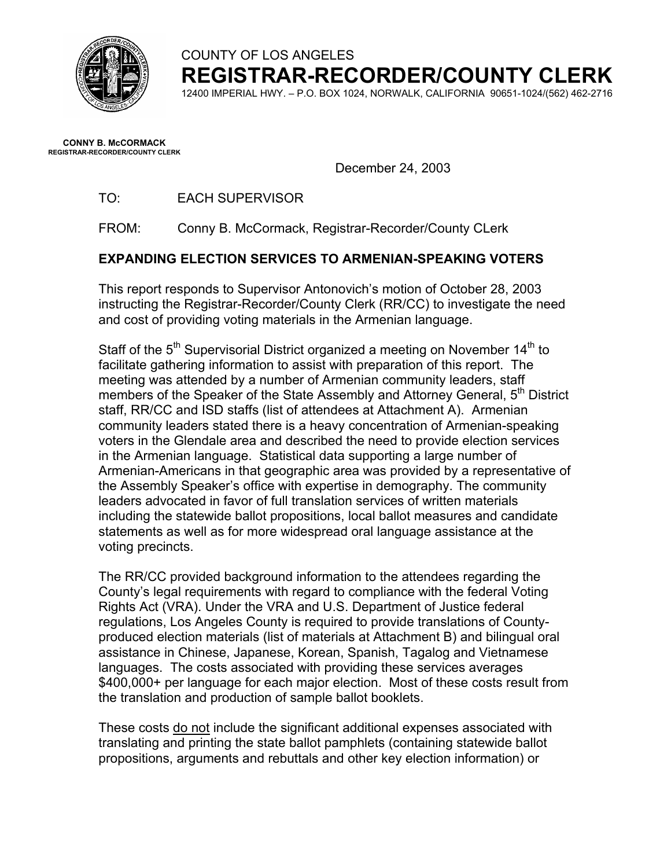

COUNTY OF LOS ANGELES

**REGISTRAR-RECORDER/COUNTY CLERK** 

12400 IMPERIAL HWY. – P.O. BOX 1024, NORWALK, CALIFORNIA 90651-1024/(562) 462-2716

**CONNY B. McCORMACK REGISTRAR-RECORDER/COUNTY CLERK** 

December 24, 2003

TO: EACH SUPERVISOR

FROM: Conny B. McCormack, Registrar-Recorder/County CLerk

# **EXPANDING ELECTION SERVICES TO ARMENIAN-SPEAKING VOTERS**

This report responds to Supervisor Antonovich's motion of October 28, 2003 instructing the Registrar-Recorder/County Clerk (RR/CC) to investigate the need and cost of providing voting materials in the Armenian language.

Staff of the  $5<sup>th</sup>$  Supervisorial District organized a meeting on November 14<sup>th</sup> to facilitate gathering information to assist with preparation of this report. The meeting was attended by a number of Armenian community leaders, staff members of the Speaker of the State Assembly and Attorney General, 5<sup>th</sup> District staff, RR/CC and ISD staffs (list of attendees at Attachment A). Armenian community leaders stated there is a heavy concentration of Armenian-speaking voters in the Glendale area and described the need to provide election services in the Armenian language. Statistical data supporting a large number of Armenian-Americans in that geographic area was provided by a representative of the Assembly Speaker's office with expertise in demography. The community leaders advocated in favor of full translation services of written materials including the statewide ballot propositions, local ballot measures and candidate statements as well as for more widespread oral language assistance at the voting precincts.

The RR/CC provided background information to the attendees regarding the County's legal requirements with regard to compliance with the federal Voting Rights Act (VRA). Under the VRA and U.S. Department of Justice federal regulations, Los Angeles County is required to provide translations of Countyproduced election materials (list of materials at Attachment B) and bilingual oral assistance in Chinese, Japanese, Korean, Spanish, Tagalog and Vietnamese languages. The costs associated with providing these services averages \$400,000+ per language for each major election. Most of these costs result from the translation and production of sample ballot booklets.

These costs do not include the significant additional expenses associated with translating and printing the state ballot pamphlets (containing statewide ballot propositions, arguments and rebuttals and other key election information) or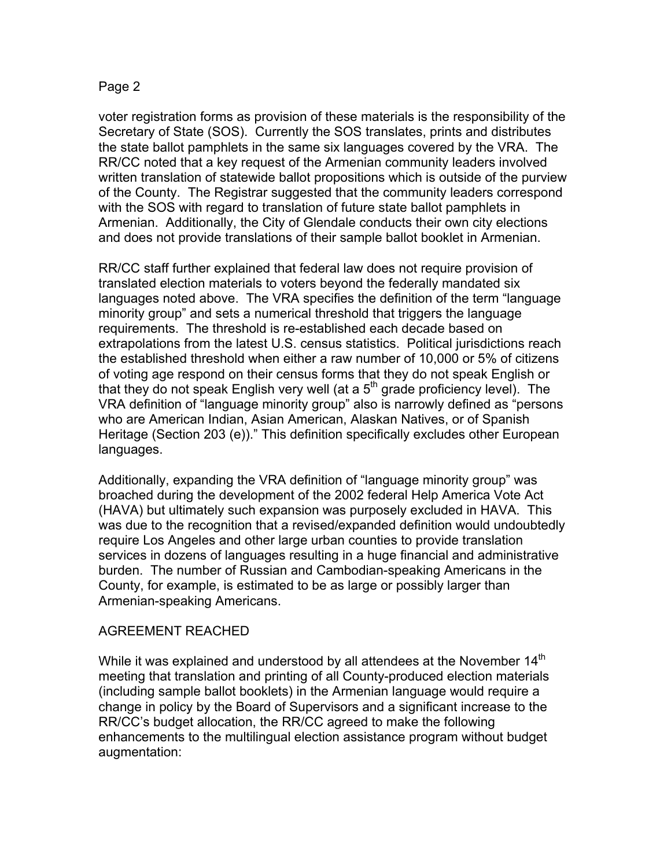### Page 2

voter registration forms as provision of these materials is the responsibility of the Secretary of State (SOS). Currently the SOS translates, prints and distributes the state ballot pamphlets in the same six languages covered by the VRA. The RR/CC noted that a key request of the Armenian community leaders involved written translation of statewide ballot propositions which is outside of the purview of the County. The Registrar suggested that the community leaders correspond with the SOS with regard to translation of future state ballot pamphlets in Armenian. Additionally, the City of Glendale conducts their own city elections and does not provide translations of their sample ballot booklet in Armenian.

RR/CC staff further explained that federal law does not require provision of translated election materials to voters beyond the federally mandated six languages noted above. The VRA specifies the definition of the term "language minority group" and sets a numerical threshold that triggers the language requirements. The threshold is re-established each decade based on extrapolations from the latest U.S. census statistics. Political jurisdictions reach the established threshold when either a raw number of 10,000 or 5% of citizens of voting age respond on their census forms that they do not speak English or that they do not speak English very well (at a  $5<sup>th</sup>$  grade proficiency level). The VRA definition of "language minority group" also is narrowly defined as "persons who are American Indian, Asian American, Alaskan Natives, or of Spanish Heritage (Section 203 (e))." This definition specifically excludes other European languages.

Additionally, expanding the VRA definition of "language minority group" was broached during the development of the 2002 federal Help America Vote Act (HAVA) but ultimately such expansion was purposely excluded in HAVA. This was due to the recognition that a revised/expanded definition would undoubtedly require Los Angeles and other large urban counties to provide translation services in dozens of languages resulting in a huge financial and administrative burden. The number of Russian and Cambodian-speaking Americans in the County, for example, is estimated to be as large or possibly larger than Armenian-speaking Americans.

### AGREEMENT REACHED

While it was explained and understood by all attendees at the November  $14^{\text{m}}$ meeting that translation and printing of all County-produced election materials (including sample ballot booklets) in the Armenian language would require a change in policy by the Board of Supervisors and a significant increase to the RR/CC's budget allocation, the RR/CC agreed to make the following enhancements to the multilingual election assistance program without budget augmentation: